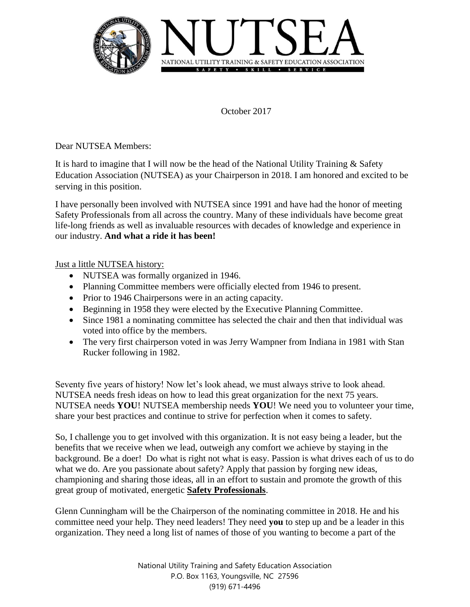

October 2017

Dear NUTSEA Members:

It is hard to imagine that I will now be the head of the National Utility Training & Safety Education Association (NUTSEA) as your Chairperson in 2018. I am honored and excited to be serving in this position.

I have personally been involved with NUTSEA since 1991 and have had the honor of meeting Safety Professionals from all across the country. Many of these individuals have become great life-long friends as well as invaluable resources with decades of knowledge and experience in our industry. **And what a ride it has been!**

Just a little NUTSEA history:

- NUTSEA was formally organized in 1946.
- Planning Committee members were officially elected from 1946 to present.
- Prior to 1946 Chairpersons were in an acting capacity.
- Beginning in 1958 they were elected by the Executive Planning Committee.
- Since 1981 a nominating committee has selected the chair and then that individual was voted into office by the members.
- The very first chairperson voted in was Jerry Wampner from Indiana in 1981 with Stan Rucker following in 1982.

Seventy five years of history! Now let's look ahead, we must always strive to look ahead. NUTSEA needs fresh ideas on how to lead this great organization for the next 75 years. NUTSEA needs **YOU**! NUTSEA membership needs **YOU**! We need you to volunteer your time, share your best practices and continue to strive for perfection when it comes to safety.

So, I challenge you to get involved with this organization. It is not easy being a leader, but the benefits that we receive when we lead, outweigh any comfort we achieve by staying in the background. Be a doer! Do what is right not what is easy. Passion is what drives each of us to do what we do. Are you passionate about safety? Apply that passion by forging new ideas, championing and sharing those ideas, all in an effort to sustain and promote the growth of this great group of motivated, energetic **Safety Professionals**.

Glenn Cunningham will be the Chairperson of the nominating committee in 2018. He and his committee need your help. They need leaders! They need **you** to step up and be a leader in this organization. They need a long list of names of those of you wanting to become a part of the